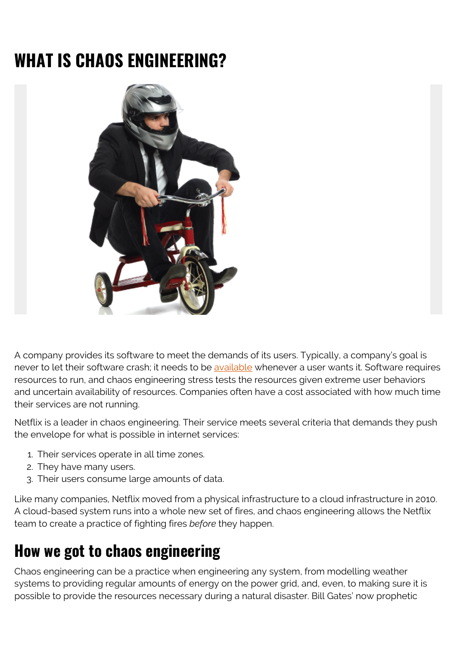# **WHAT IS CHAOS ENGINEERING?**



A company provides its software to meet the demands of its users. Typically, a company's goal is never to let their software crash; it needs to be [available](https://blogs.bmc.com/blogs/reliability-vs-availability/) whenever a user wants it. Software requires resources to run, and chaos engineering stress tests the resources given extreme user behaviors and uncertain availability of resources. Companies often have a cost associated with how much time their services are not running.

Netflix is a leader in chaos engineering. Their service meets several criteria that demands they push the envelope for what is possible in internet services:

- 1. Their services operate in all time zones.
- 2. They have many users.
- 3. Their users consume large amounts of data.

Like many companies, Netflix moved from a physical infrastructure to a cloud infrastructure in 2010. A cloud-based system runs into a whole new set of fires, and chaos engineering allows the Netflix team to create a practice of fighting fires *before* they happen.

#### **How we got to chaos engineering**

Chaos engineering can be a practice when engineering any system, from modelling weather systems to providing regular amounts of energy on the power grid, and, even, to making sure it is possible to provide the resources necessary during a natural disaster. Bill Gates' now prophetic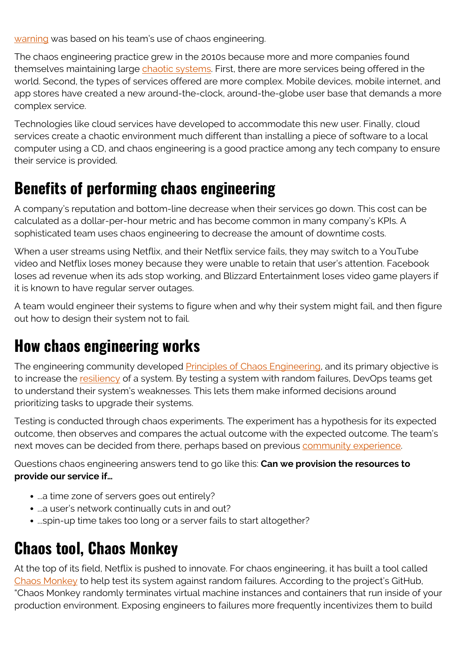[warning](https://www.ted.com/talks/bill_gates_the_next_outbreak_we_re_not_ready) was based on his team's use of chaos engineering.

The chaos engineering practice grew in the 2010s because more and more companies found themselves maintaining large [chaotic systems.](https://www.oreilly.com/library/view/chaos-engineering/9781491988459/) First, there are more services being offered in the world. Second, the types of services offered are more complex. Mobile devices, mobile internet, and app stores have created a new around-the-clock, around-the-globe user base that demands a more complex service.

Technologies like cloud services have developed to accommodate this new user. Finally, cloud services create a chaotic environment much different than installing a piece of software to a local computer using a CD, and chaos engineering is a good practice among any tech company to ensure their service is provided.

## **Benefits of performing chaos engineering**

A company's reputation and bottom-line decrease when their services go down. This cost can be calculated as a dollar-per-hour metric and has become common in many company's KPIs. A sophisticated team uses chaos engineering to decrease the amount of downtime costs.

When a user streams using Netflix, and their Netflix service fails, they may switch to a YouTube video and Netflix loses money because they were unable to retain that user's attention. Facebook loses ad revenue when its ads stop working, and Blizzard Entertainment loses video game players if it is known to have regular server outages.

A team would engineer their systems to figure when and why their system might fail, and then figure out how to design their system not to fail.

## **How chaos engineering works**

The engineering community developed **Principles of Chaos Engineering**, and its primary objective is to increase the [resiliency](https://blogs.bmc.com/blogs/resiliency-vs-redundancy/) of a system. By testing a system with random failures, DevOps teams get to understand their system's weaknesses. This lets them make informed decisions around prioritizing tasks to upgrade their systems.

Testing is conducted through chaos experiments. The experiment has a hypothesis for its expected outcome, then observes and compares the actual outcome with the expected outcome. The team's next moves can be decided from there, perhaps based on previous [community experience](https://github.com/dastergon/awesome-chaos-engineering).

Questions chaos engineering answers tend to go like this: **Can we provision the resources to provide our service if…**

- ...a time zone of servers goes out entirely?
- ...a user's network continually cuts in and out?
- ...spin-up time takes too long or a server fails to start altogether?

## **Chaos tool, Chaos Monkey**

At the top of its field, Netflix is pushed to innovate. For chaos engineering, it has built a tool called [Chaos Monkey](https://github.com/Netflix/chaosmonkey) to help test its system against random failures. According to the project's GitHub, "Chaos Monkey randomly terminates virtual machine instances and containers that run inside of your production environment. Exposing engineers to failures more frequently incentivizes them to build